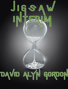# JOGSAW

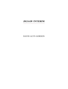# **JIGSAW INTERIM**

DAVID ALYN GORDON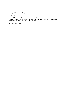Copyright © 2021 by David Alyn Gordon

All rights reserved.

No part of this book may be reproduced in any form or by any electronic or mechanical means, including information storage and retrieval systems, without written permission from the author, except for the use of brief quotations in a book review.

[Created with Vellum](http://tryvellum.com/created)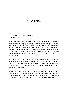# **JIGSAW INTERIM**

February 1, 1944 International Evangelical Hospital Voltri, Italy

Noah's condition was unchanged. His face remained fully covered in bandages from the surgery following what happened at the Operation Corvo lab. Lavonia had brought him to the abandoned hospital nearly three weeks before—following events at the Villa Delle Brignole—and he had yet to regain consciousness. The hospital itself had been bombed in 1942, and then deserted. But the bombs hadn't destroyed everything, and what remained provided an ideal environment for Dr. Vincente D'Ambrosio to care for Noah.

D'Ambrosio and Lavonia took turns watching over Noah. Elisabetta had become increasingly annoyed with the whole situation. "He'll get us all killed," she said on more than one occasion. Each time, Lavonia reviewed the letters from her future self, and then reassured Elisabetta that Noah would come around soon.

On February 1, 1944, at 3:20 p.m., Lavonia made a point of being in Noah's room when Dr. D'Ambrosio came to check on him. For the first time, Noah rolled over in bed. He woke a moment later, and screamed. An instant after that, he was full of questions. "Where am I? Why is it so dark? Why can't I see?"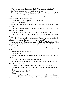"I'm here, my love," Lavonia replied. "You're going to be fine."

Dr. D'Ambrosio prepared a sedative, just in case.

"Lavonia," Noah said. "What's going on? Why can't I see anyone? Why does my voice sound different?"

"You were injured at the Villa," Lavonia told him. "You've been unconscious for almost three weeks."

"Three weeks," Noah repeated. "Is Mona here too?"

"No. You need to relax."

Noah tried to touch his face, but found it covered with bandages. "What happened?"

"My Love," Lavonia said, and took his hands. "I need you to calm down so I can explain."

Noah took a deep breath and squeezed Lavonia's hands. "Okay…"

"I'm going to have Dr. D'Ambrosio take off the bandages. Go ahead, Dr."

D'Ambrosio started with the bandages. "Keep your eyes closed until I tell you to open them," he said. "Do you understand?"

Noah nodded, and D'Ambrosio removed the last of the bandages. "Now open slowly," he said. "Give your eyes time to adjust to the light."

Noah followed the instructions, and focused on Lavonia's face. She smiled at him. "You're the most beautiful person I could open my eyes to," Noah told her.

Lavonia kissed him. "I love you."

"I love you too."

Lavonia looked to D'Ambrosio. "Can you please excuse us for a few minutes?"

"Of course," he said, and stepped from the room.

Lavonia kissed Noah again and hugged him. "I was so worried about you. I thought I'd die if I lost you."

"Everything's fine my love," Noah said. "Tell me what happened."

"I'll explain in a minute," Lavonia said. "Do you think you can walk?" "Sure."

"Walk with me to the sink."

"Okay."

Lavonia stood between Noah and the mirror above the sink, struggling for the words to explain his situation. "Now, you need to know," she said,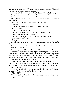and paused for a moment. "Your face and throat were burned. Cohen took you to the future for reconstructive surgery."

Noah was silent for a moment. "How bad was it?" he asked at length.

"Very bad," Lavonia told him. "That's why your face had to be bandaged, and why your voice sounds different."

"All right," Noah said. "I don't look like something out of Scarface or Frankenstein?"

"Well, you do have a scar. But it's really not that bad."

"Thank God."

"Do you remember what happened to Pitto at the villa?"

"No," Noah said.

"He's dead," Lavonia told him.

"But that's impossible. He can't be dead. We met him, after."

"Trust me when I tell you. He's dead."

"But that would create a… Wait a minute. The Pitto I met had a scar."

"Yes," Lavonia confirmed.

"Oh God."

Lavonia stepped aside, and Noah saw himself in the mirror. *"Holy shit! Where's my face?"*

"My Love. I need you to focus and listen. You're Pitto now."

"What? I can't be Pitto."

"You always were," Lavonia told him. "Pitto was killed at the Villa… The lab console equipment blew up in your face and gave you this scar… Think about it. You met Pitto as an old man. He had the same scar you have now. You knew he was married to me because he made a point of telling you when he gave you and your friends a tour of Genoa. It was you I married, not Pitto. His past is your future."

Noah staggered from the bathroom and sat on the bed. He took a moment to process things, then reached out for Lavonia's hand. She took it and sat beside him. Noah shook his head in disbelief. "I never put it together…" he said.

"I know," Lavonia said. "But I have something that may help." She took an envelope from a pocket and handed it to him.

"What's this?"

"A letter you haven't written yet," Lavonia said. "It's how I knew you'd wake up, and when."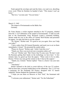Noah opened the envelope and read the letter, over and over, absorbing every word. When he finished, he handed it back. "This means I can't go home."

"My love," Lavonia said. "You are home."

 $\mathcal{L}_\text{max}$  and  $\mathcal{L}_\text{max}$  and  $\mathcal{L}_\text{max}$  and  $\mathcal{L}_\text{max}$ 

March 12, 1945

The seaport of Swinemunde on the Baltic Sea Germany

Dr. Franz Steiner, a rocket engineer attached to the V2 program, climbed from the *U-1118* submarine at the seaport of Swinemunde. A staff car took him to the Peenemunde Army Research Center's command building. Steiner made his way to the office of Colonel Wolf Richter and presented his papers. An aide took him to see the colonel.

"Dr. Steiner," Richter said. "It's good to see you again. How can I help you today?"

"I have orders from SS General Kammler, and need you to act on them immediately, Colonel." He presented the sealed orders.

"Please sit, Doctor," Richter said, "while I look this over."

"Thank you. Have you received your evacuation orders yet?"

"Not yet," Richter said. "But I know they'll come soon. We don't want the Russians getting their hands on the technology we have here." A few minutes later, he gazed up from the papers. "These seem to be in order, Doctor. I'll have my men get the rockets to the U-boat at the seaport."

"Thank you, Colonel," Steiner replied. "Time is a factor. Can your men hurry?"

"Absolutely."

Steiner returned to the dock to await delivery of the two V2 rockets. Half an hour later, crewmen loaded them on the submarine. The *U-1118* was a prototype for the Prufstand XII Project, designed with V2 launch capability. Steiner thanked the lieutenant in charge.

"I hope you use these on Moscow or New York," the lieutenant told him.

"I welcome your enthusiasm," Steiner said. "For the Fatherland."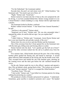"For the Fatherland," the Lieutenant replied.

Seconds later, the port's air raid sirens went off. "Allied bombers," the lieutenant said. "You need to get out of here, sir."

"Right," Steiner said. "Good luck."

Steiner turned to run back into the U-boat as the crew prepared the sub for diving. A car horn sounded behind him. Steiner swung around to to see Colonel Richter's vehicle skidding to a stop. Steiner slid his right hand into a pocket.

The lieutenant looked to Richter, confused.

Richter walked toward Steiner. "I Just heard from General Kammler," he said.

"And how is the general?" Steiner asked.

"Surprised you're here," Richter said. "He was also astounded when I repeated the orders, he said he did not sign. Can you explain that?"

"I can't"

"I didn't think so," Richter said. "Lieutenant. Arrest Doctor Steiner and have your men board the sub and take custody of the crew."

Steiner drew his own revolver and shot Richter and the lieutenant.

One of the crewmen from the U-boat opened fire on the lieutenant men with the deck gun, killing some and forcing others to scatter.

Steiner hurried onto the deck. "Let's quickly get the hell out of here!" He and the other crewmen rushed into the sub as it pulled away from the dock.

Five minutes later, Allied bombs destroyed the port. One of the trailing bomber pilots spotted the fleeing sub, and turned to intercept. A second plane followed. Both unloaded on the diving sub, but the bombs went wide. They swooped down and strafed the sub with machine guns, shooting up the conning tower and the deck gun before the sub vanished beneath the waves.

On the sub, Steiner made his way to the officers' quarters and opened a door. Pilo sat behind a desk, gazing back at him. "The rockets are on board, My Lord," Steiner reported. "And we've escaped the Allied bombers."

"Excellent, Franz," Pilo said.

"I feel awful," Steiner said. "I just killed two German patriots for doing nothing but protecting my country."

Pilo produced a bottle of brandy and poured two glasses. "I understand. Sometimes, great sacrifice is needed to promote one's cause." He handed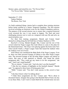Steiner a glass, and raised his own. "For Novus Ordo." "For Novus Ordo," Steiner repeated.

 $\mathcal{L}_\text{max}$  and  $\mathcal{L}_\text{max}$  and  $\mathcal{L}_\text{max}$  and  $\mathcal{L}_\text{max}$ 

September 27, 1930 Yankee Stadium The Bronx, New York

As Garth explained things, interns had to complete three training missions before being certified as a Senior Temporal Guardians. The first mission involved recording an historical event for the Global Foundation archives. The purpose of the second mission was to ensure that a required historical event occurred the way it was meant to happen. The final and most challenging mission was to work on a temporal cold case file and solve an unsolved police case.

For their first training assignment, Mariah and Connor found themselves sitting along the left field line at Yankee Stadium in 1930.

*Baseball is boring,* Mariah thought. She, Connor and the rest of the crowd waited for Negro League Star Josh Gibson to come to the plate for the Homestead Grays. The Grays were playing against the home team New York Lincoln Giants, a Negro League Team that leased the stadium when the Yankees were out of town.

Josh Gibson was considered the Babe Ruth of the Negro Leagues. Even so, there was little newsreel footage of Gibson or the other Negro League stars. The newsreel footage of the all-white Major Leagues was almost as scarce. But none of that mattered to Mariah, who found the whole assignment dull. "They could get any intern to do this assignment," she said. "And I can't stand baseball."

"We *are* interns," Connor said. "And why don't you like baseball?"

"I like the two minutes of highlights on the baseball channel," Mariah said. "As opposed to three hours of boring game time."

"Shhh," Connor said. "You don't want anyone in this crowd to hear you."

"Like they'd know what I'm talking about."

"I think these assignments are fun," Connor said. "We're about to document history. Imagine fans going to the Baseball Hall of Fame one day to see these films. I can't wait to watch Ruth hit his sixtieth home run next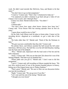week. He didn't need steroids like McGwire, Sosa, and Bonds to hit that many.""

"You don't have to go on that assignment."

"I want to," Connor said. "That's why I volunteered to help out."

"I'm surprised you didn't volunteer to go back and get a video of Lon Chaney's lost *London After Midnight* flick."

Connor was silent. Mariah looked at him. "You didn't."

"I did."

"Unbelievable."

"You don't know how many silent horror classics have been lost," Connor said. "Even Doctor Who has missing episodes from its first six years."

"I guess those would be nice to find."

On the field, Josh Gibson took his place at home plate. Connor set his recording device—disguised as a scorebook—to get a wide shot of the pitch.

"He looks older than 18," Mariah said. "Kind of like the Partisans in Italy."

"We grew up more comfortably than they did," Connor said

The pitcher threw, and Gibson smashed the ball toward the left center field fence, 460 feet away. The ball flew over the left field bleacher, landing near the back end of the ballpark.

*"Wow,"* Mariah said, impressed with the loud crack of the bat and the ball's trajectory.

"Jesus," Connor said. "Did you see that shot? He almost hit it out of the fucking ballpark. That had to go six hundred feet."

"Please make sure you got it," Mariah said. "I don't want to fail this assignment."

"I got it," Connor said, still recording as Gibson rounded the bases. "We now have archival proof of one of the greatest baseball players in history, hitting one of the longest home runs in Yankee Stadium."

"That's great," Mariah said. "Be sure to filter out our discussion before you turn the recording in."

"Right," Connor said. "We can go now if you like."

"Let's wait until the end of the inning," Mariah said.

"I thought you were bored."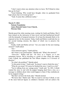"I don't want to draw any attention when we leave. We'll blend in when fans go for food."

"Good thinking. Who would have thought, when we graduated from high school, that we'd wind up here?"

"Yeah. It seems like a different reality."

 $\mathcal{L}_\text{max}$  and  $\mathcal{L}_\text{max}$  and  $\mathcal{L}_\text{max}$  and  $\mathcal{L}_\text{max}$ 

## **March 27, 2024 Falcone Foundation Annex Beneath Santa Croce Church, Florence Italy**

Mariah paced the white meeting room, waiting for Garth and Ruben. She'd been trained on the intricacies of time travel, and had familiarized herself with the demands of temporal missions. Or at least the demands likely to be imposed on her, for the moment. Today, Garth and Ruben would take her on her second training mission, the object of which was to preserve the timeline.

Finally, Garth and Ruben arrived. "Are you ready for the next training mission?" Garth asked.

"Yes."

"Your instructor agrees," Garth told her.

"He's been a very good teacher," Mariah said. "What's the mission?"

*"Pinocchio,"* Ruben told her. "Or *Story of a Puppet*, as it was sometimes known. We're traveling to a point in time where the author, Carlo Collodi, has published the first fifteen chapters in *Il Gironale di Bambini*."

"So what's the problem?" Mariah asked.

"At this point in time," Garth said, "he doesn't want to finish the story."

"What do you mean? Of course he finished the story. I read it as a kid."

"You're talking from our vantage point," Garth said. "In 1881, Collodi wanted the story to end with the puppet hanging dead from a tree, as a message to children about what would happen to them if they misbehaved. So he stopped writing."

"But that's not how the book ends," Mariah insisted.

"We know that," Ruben said. "But we need to convince Collodi, or one of the most beloved figures in children's literature will not achieve the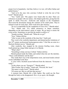proper level of popularity. And that, believe it or not, will affect Italian and global history."

"And we're the ones who convince Collodi to write the rest of the book?" Mariah asked.

"Yes," Garth said. "His papers were found after he died. There are references to people with our names, who helped guide him, giving him the spark to finish *Pinocchio.* Archivists and analysts at the Foundation discovered the documents among the contents of his small estate. They're trained to look for such clues. Their work led to this mission."

"So we're responsible for the completion of *Pinocchio?*" Mariah asked.

"Yes," Ruben said. "It's called retroactive or future causation, depending on the intervention's point of origin. We go back to ensure the event occurs. Sometimes we provide the means to achieve it."

"Sounds exciting," Mariah said. "When do we go?"

"Now," Ruben told her.

"After we put on the wardrobe of the time first," Garth said.

They went to the wardrobe department, and donned perfect imitations of late 19<sup>th</sup> century professional businessperson attire "I feel like an extra in a Sherlock Holmes movie," Mariah said.

After wardrobe, they stopped by the mission briefing room, where Garth picked up a large folder and gave it to Mariah.

"What's this?"

"Something to help convince Collodi," Ruben told her.

Mariah peeked inside the folder, and smiled when she saw the sketches. "These could definitely seal the deal."

They made their way to the teleportation room, and stood inside colored circles embedded in the floor.

A voice with a Scottish accent bellowed from the intercom. "Everyone ready?"

"Is this where you say "Energize?"" Mariah asked.

 $\mathcal{L}_\text{max}$  and  $\mathcal{L}_\text{max}$  and  $\mathcal{L}_\text{max}$  and  $\mathcal{L}_\text{max}$ 

"Miss Fischer, this is reality," Garth said. "Proceed, Mr. Scott."

"His name is really Scott?" Mariah asked.

"Of course not. But we call him that anyway."

A moment later, Mariah felt a little lighter. She could see the floor through her body as she disappeared. *Here we go again,* she thought.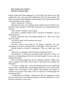# **Near Santa Croce Church Florence, (Firenze) Italy**

Mariah, Garth and Cohen appeared in a local alley near Santa Croce. She scanned the area, and saw subtle differences from her time period. The shops and streets looked different, and the people who walked past the alley wore nineteenth century clothes.

"Okay," Ruben said. "Let's go."

Moments later, they were walking up the outside stairs to Collodi's onebedroom studio apartment. When they reached the top, Mariah knocked on the door.

"Who's there?" Collodi's voice replied.

"My name is Mariah Fischer from Il Gironale di Bambini. Can we speak with you?"

Collodi opened the door and looked Mariah over. "How can I help you?" he asked.

"We need to speak with you about your work."

"Come in then."

The three visitors were struck by the studio's simplicity. The only furnishings were a bed, a cluttered desk, a small table, a stove and a sink.

Collodi looked to Mariah's companions. "Who are these men with you?"

"These are my colleagues with Il Gironale, Garth and Cohen."

"My pleasure," Collodi said, and shook hands with them. "What is it about my work that brings all of you to my door tonight I've never seen you people at the office."

"We're traveling salespersons for the magazine, Signore," Ruben said. "We're seldom at the office. We're here to talk about more chapters for Pinocchio."

"Go away," Collodi said. "I told the publisher that the story should end where it does, with that little rascal hanging dead from a tree, to show little children what will happen if they ignore their parents and engage in mischief. So go back to the office. I have no interest in continuing the tale beyond that point."

"I understand your feelings," Mariah said "But it's important for sales that you continue the story. Our sales people at the office think this is one of the best works they've ever seen."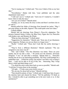"You're teasing me," Collodi said. "Not even I think of this as my best idea."

"Nevertheless," Ruben told him, "your publisher and the sales department wants more."

"I still can't see it," Collodi said. "And even if I wanted to, I wouldn't know where to take the story."

"Are you out of ideas?" Mariah asked.

"Frankly, yes. In my mind, the story is done and there's nowhere else to go with it."

Mariah pulled the folder of drawings from beneath her jacket. "May I put some things on the table, Signore? This could spark some new ideas."

Collodi nodded.

Mariah laid out drawings from Disney's *Pinocchio* adaptation. The pictures featured Jiminy Cricket, the Blue Fairy, Figaro the Cat, Pinocchio with donkey ears, and Monstro the Whale.

"What are these drawings?" Collodi asked.

"Suggestions for characters," Mariah said, "from one of our illustrators at the magazine. Perhaps you can use them in a longer story."

"Really." Collodi said. "These don't look like the earlier drawings I saw."

"They're from a different illustrator," Mariah explained. "The one assigned to your story was ill."

"Oh," said Collodi. "The first illustrator was better. These are poor quality, but let me take a look…" He pored over the sketches, obviously intrigued. "I see," he said after a moment. "Maybe there is… Pinocchio turning into an ass is an interesting possibility. The Fairy could perhaps be a godmother type… I killed the cricket, but maybe I can find a way to bring it back… I may not be able to fit all of this, but… Interesting. May I keep these a while and think things over?"

"I'm afraid the artist wants them back as soon as possible," Mariah said. "I told him I'd return them in the morning."

"All right… I'll take some notes before you go."

"We can stay for about half an hour," Mariah told him.

"That should be plenty of time," Collodi said. A half-hour later, he gave the sketches back and cleared his throat. "Tell the publisher I'll think on this. I should be able to get something out in the next week or so. Is that satisfactory?"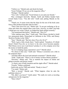"I believe so," Mariah said, and shook his hand.

"Good. Perhaps I'll see you at the magazine office."

"Perhaps," Mariah replied.

"Very well," Collodi said. "Good fortune to you and your friends."

They exchanged farewells. Mariah, Garth and Ruben headed back toward Santa Croce. "You did well," Garth said, patting Mariah on the back.

"Thank you. It seems ironic that the ideas for the rest of the book came from a film produced decades after he died."

"That's time travel for you," Ruben said. "It can get confusing as far as when and where the original ideas come from. Anyway, we didn't just help Collodi get over writer's block; we helped the future global economy."

"You mentioned that before," Mariah said. "How so?"

"After making many films," Garth said, "Walt Disney decided to build two amusement parks, Disneyland in California in the 1950s, and Disney World in Florida, in the 1960s."

"Sure," Mariah said. "But how does *Pinocchio* fit in?"

"Well, it gets a little cloudy there," Garth replied. "Somehow, if Collodi doesn't finish *Pinocchio* as we know it, the story never becomes popular. Walt Disney never sees it and doesn't produce it, so his company never has the money to build the parks.

"So we're helping mega corporation's now?" Mariah asked.

"No choice in this case," Garth said. "Disney's economics are a link in the temporal chain."

"And that affects the local and national economies?" Mariah asked.

"Yeah," Garth said. "There's a lot of money in those Disney products."

"Precisely," Ruben said. "Not to mention the impact on Italian and global economic and literary trends."

"A classic case of both causation and the ripple effect?" Mariah asked.

"Exactly," Ruben confirmed.

Garth took out his TMD and smiled. "Ready to leave?"

"I'm ready," Ruben said.

"Wait a second," Mariah said. "What happens when he asks the publisher about us?"

"Oh, didn't you know?" Garth asked. "We really do work as traveling salespersons for the magazine."

"Since when?"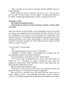"Since we make our next stop to yesterday and the publisher hires us," Garth explained.

Garth scoped the area for witnesses, but saw no one. "Let's go get a job," he said. "Vivoli's Gelato is on me tonight." He pressed the button on the TMD. A bright light engulfed them, and they vanished into thin air.

### **November 3, 2024**

### **The Falcone Foundation Annex**

**Underneath the School of Earth and Space Science, Arizona State University.**

Garth and Ferrara escorted Mariah to the teleportation room for her final test mission, an assignment from the Temporal Cold Files Division. Part of the Foundation's own mission involved assisting law enforcement with unsolved mysteries. Occasionally, such assignments allowed the guilty to be arrested and justice to be served. Occasionally, a cold file mission helped exonerate an innocent on death row. Most of the time, they simply provided closure to victims' families.

"Are you ready?" Ferrara asked.

"Yes"

"You understand what you have to do?" Garth asked.

"Absolutely," Mariah replied. "I photograph the criminals and any incriminating evidence, then teleport back here."

"Any last questions on the Diaz case file?" Ferrara asked.

"No. It was so tragic. It happened close to where I grew up in Mesa. On Friday the  $13<sup>th</sup>$ . I remember my parents watching the news about the murders on channel three. When the killers weren't found right away, my dad joined the neighborhood watch."

Mariah stood on the teleportation pad.

"Good luck," Ferrara told her. She went to the teleporter controls and started the sequence. A moment later, Mariah disappeared.

She arrived on a sidewalk across the street from the Diaz house on Friday, August 13, 2010. . It was midnight, but still hot. *Global warming is a hoax my ass* Mariah thought. She positioned herself behind some bushes,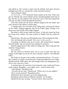and settled in. The coroner's report said the killings took place between midnight and 3:00 a.m., and that the victims had been tortured.

And so Mariah waited.

At 12:23 a.m., a 1974 Plymouth Duster parked at the curb. Three men got out. Mariah took out her digital camera and photographed each man as they left the car and walked to the front door. One of the three picked the lock and was able to break through the front door.

After they broke into the house, Mariah stepped from the bushes and took a picture of the Duster's license plate.

A moment later, she was back in her hiding place, pressing the button on her TMD. Nothing happened. She hit the button again, waiting to be taken away from all this. But it didn't happen.

She heard a child scream inside the house. A little girl stared out from the living room window. Her gaze locked on Mariah, and she yelled for help.

Mariah froze. The girl was still looking at her. Still screaming for help. *Holy shit* Mariah said to herself. *This wasn't in the case file.*

Everything in Mariah cried out for action. She found herself stepping from the bushes. She saw the girl react, hoping for salvation.

Mariah stopped herself. She could not change this. That would alter the timeline. Change history.

*Screw history.*

But she could not. Because there was no way to know how that one change would ripple out across the years, decades, centuries. The Butterfly Effect…

She looked to the girl in the window, and heard herself say, "I'm sorry." She watched as a hand covered the girl's mouth and pulled her out of sight. Mariah tried the TMD again. Her last thought before she disappeared was, *Oh my God, what have I done.*

A moment later, she was back in the teleporter room, Garth and Ferrara at the controls. Bernadette—now eighty seven—stood in front of her.

"Aunt Mariah," Bernadette said.

"You still call me Aunt," Mariah said. "When you're in your eighties."

"How was the mission?" Bernadette asked.

Mariah bent down and threw up on the teleporter pad.

Bernadette rested a hand on Mariah's shoulder "It's all right."

Mariah felt the tears coming. "You don't know what I just did."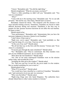"I know," Bernadette said. "You did the right thing."

Mariah straightened. "What do you mean, you know?"

"There's a little something we didn't tell you," Bernadette said. "You were in a simulation."

*"What?"*

"Come with me to the meeting room," Bernadette said. "So we can talk privately." She led the way. Once there, Mariah had to sit down.

Bernadette cleared her throat. "The temporal cold file mission is *the* most stressful training exercise. Sometimes, Guardians are forced to make difficult decisions during real missions. Simulation is the best way to prepare for that, because incorrect decisions do not affect the real timeline. No harm is done."

Mariah stared at her.

"Your performance," Bernadette said, "demonstrates that you have the necessary judgment to become a Senior-Level Guardian."

"I don't know if that want to."

"Right now, you're upset," Bernadette said. "And justifiably so. But you'll get the hang of it, over time. Trust me on this."

"At the cost of my soul?" Mariah asked.

"We all feel that way on the first cold file mission," Ferrara said. "Even when it's a simulation."

"Everyone goes through the same simulation?" Mariah asked.

"No," Bernadette said. "They're customized. The Diaz murders were part of your childhood experience. So we used that."

"Were those the real murderers?" Mariah asked.

"Yes. One of our more experienced Guardians went on the mission earlier today, and recorded the event."

"Including the little girl at the window?" Mariah asked.

"No. That was your test. In real life, she never made it to the window. But we needed something for you to react to."

Mariah glared at her.

"What if I'd saved her?" Mariah asked.

"You would have been classified as a mid-level Guardian," Bernadette said, "and restricted to level-one and -two missions."

"Who were the killers?" Mariah asked.

"Right-wing fringe nuts who hated Hispanics. The authorities have already linked them to other Latino murders in Arizona."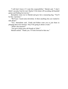"I still don't know if I want this responsibility," Mariah said. "I don't think I can play God for real. Maybe I'd be better off recording old baseball games and finding lost movies."

Bernadette went over to Mariah and gave her a reassuring hug. "You'll be fine. I promise."

"We'll see. I need some downtime. Is there anything else you wanted to talk about?"

"Yes," Bernadette said. "Garth and Ruben want you to join them in planning their next mission. They'll be going in about a week."

"What's the mission?"

"You get to help some old friends in Voltri."

Mariah smiled. "Thank you. I'll look forward to that one."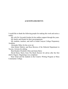## **ACKNOWLEDGMENTS**

I would like to thank the following people for making this work and series a reality:

My wife Dr. Gwyneth Gordon for her endless support through the years. My family and friends for their encouragement.

My students, teachers, and staff at Grand Canyon College Preparatory Academy.

Alexander Miley for the cover art.

John Robert Marlow and Ross Browne of the Editorial Department in Tucson, Arizona for editing.

Beta Readers Elizabeth Allen and Jamie Barry

David Henry Sterry from The Book Doctors for advise after the first draft of Jigsaw: Beginnings was completed.

Katy Grant and the students in the Creative Writing Program at Mesa Community College.